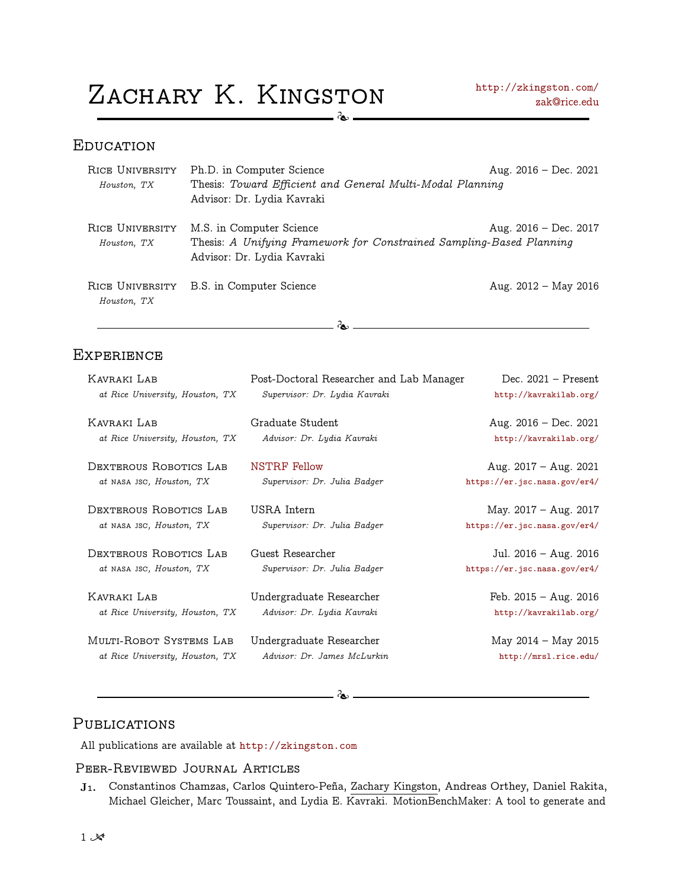$Z$ ACHARY  $K$ . KINGSTON <http://zkingston.com/>  $\infty$ 

#### **EDUCATION**

| RICE UNIVERSITY                | Ph.D. in Computer Science                                                                                                      | Aug. $2016 - Dec. 2021$ |
|--------------------------------|--------------------------------------------------------------------------------------------------------------------------------|-------------------------|
| Houston, TX                    | Thesis: Toward Efficient and General Multi-Modal Planning                                                                      |                         |
|                                | Advisor: Dr. Lydia Kavraki                                                                                                     |                         |
| RICE UNIVERSITY<br>Houston, TX | M.S. in Computer Science<br>Thesis: A Unifying Framework for Constrained Sampling-Based Planning<br>Advisor: Dr. Lydia Kavraki | Aug. $2016 - Dec. 2017$ |
| RICE UNIVERSITY<br>Houston, TX | B.S. in Computer Science                                                                                                       | Aug. $2012 - May 2016$  |
|                                |                                                                                                                                |                         |

#### **EXPERIENCE**

| KAVRAKI LAB                     | Post-Doctoral Researcher and Lab Manager | Dec. $2021$ – Present        |
|---------------------------------|------------------------------------------|------------------------------|
| at Rice University, Houston, TX | Supervisor: Dr. Lydia Kavraki            | http://kavrakilab.org/       |
| KAVRAKI LAB                     | Graduate Student                         | Aug. $2016 - Dec. 2021$      |
| at Rice University, Houston, TX | Advisor: Dr. Lydia Kavraki               | http://kavrakilab.org/       |
| DEXTEROUS ROBOTICS LAB          | <b>NSTRF</b> Fellow                      | Aug. $2017 - Aug. 2021$      |
| at NASA JSC, Houston, TX        | Supervisor: Dr. Julia Badger             | https://er.jsc.nasa.gov/er4/ |
| DEXTEROUS ROBOTICS LAB          | USRA Intern                              | May. 2017 - Aug. 2017        |
| at NASA JSC, Houston, TX        | Supervisor: Dr. Julia Badger             | https://er.jsc.nasa.gov/er4/ |
| DEXTEROUS ROBOTICS LAB          | Guest Researcher                         | Jul. $2016 - Aug. 2016$      |
| at NASA JSC, Houston, TX        | Supervisor: Dr. Julia Badger             | https://er.jsc.nasa.gov/er4/ |
| KAVRAKI LAB                     | Undergraduate Researcher                 | Feb. $2015 - Aug. 2016$      |
| at Rice University, Houston, TX | Advisor: Dr. Lydia Kavraki               | http://kavrakilab.org/       |
| MULTI-ROBOT SYSTEMS LAB         | Undergraduate Researcher                 | May 2014 – May 2015          |
| at Rice University, Houston, TX | Advisor: Dr. James McLurkin              | http://mrsl.rice.edu/        |

 $-$  Te  $-$ 

## PUBLICATIONS

All publications are available at <http://zkingston.com>

#### Peer-Reviewed Journal Articles

J<sub>1</sub>. Constantinos Chamzas, Carlos Quintero-Peña, Zachary Kingston, Andreas Orthey, Daniel Rakita, Michael Gleicher, Marc Toussaint, and Lydia E. Kavraki. MotionBenchMaker: A tool to generate and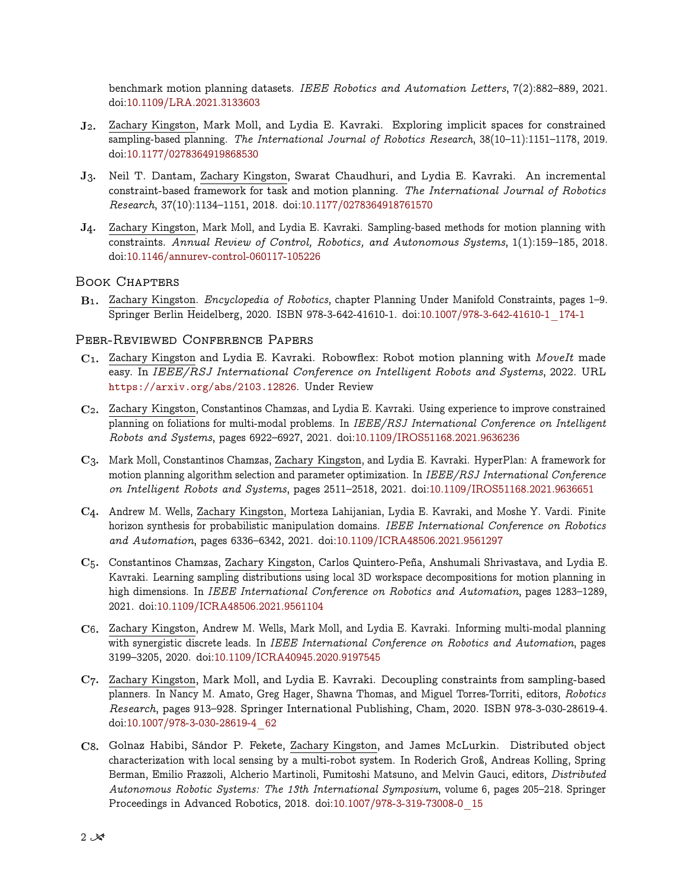benchmark motion planning datasets. IEEE Robotics and Automation Letters, 7(2):882–889, 2021. doi[:10.1109/LRA.2021.3133603](https://doi.org/10.1109/LRA.2021.3133603)

- J2. Zachary Kingston, Mark Moll, and Lydia E. Kavraki. Exploring implicit spaces for constrained sampling-based planning. The International Journal of Robotics Research, 38(10–11):1151–1178, 2019. doi[:10.1177/0278364919868530](https://doi.org/10.1177/0278364919868530)
- J3. Neil T. Dantam, Zachary Kingston, Swarat Chaudhuri, and Lydia E. Kavraki. An incremental constraint-based framework for task and motion planning. The International Journal of Robotics Research, 37(10):1134–1151, 2018. doi[:10.1177/0278364918761570](https://doi.org/10.1177/0278364918761570)
- J4. Zachary Kingston, Mark Moll, and Lydia E. Kavraki. Sampling-based methods for motion planning with constraints. Annual Review of Control, Robotics, and Autonomous Systems, 1(1):159–185, 2018. doi[:10.1146/annurev-control-060117-105226](https://doi.org/10.1146/annurev-control-060117-105226)

#### Book Chapters

B1. Zachary Kingston. Encyclopedia of Robotics, chapter Planning Under Manifold Constraints, pages 1–9. Springer Berlin Heidelberg, 2020. ISBN 978-3-642-41610-1. doi[:10.1007/978-3-642-41610-1\\_174-1](https://doi.org/10.1007/978-3-642-41610-1_174-1)

#### Peer-Reviewed Conference Papers

- C1. Zachary Kingston and Lydia E. Kavraki. Robowflex: Robot motion planning with MoveIt made easy. In IEEE/RSJ International Conference on Intelligent Robots and Systems, 2022. URL <https://arxiv.org/abs/2103.12826>. Under Review
- C2. Zachary Kingston, Constantinos Chamzas, and Lydia E. Kavraki. Using experience to improve constrained planning on foliations for multi-modal problems. In IEEE/RSJ International Conference on Intelligent Robots and Systems, pages 6922–6927, 2021. doi[:10.1109/IROS51168.2021.9636236](https://doi.org/10.1109/IROS51168.2021.9636236)
- C3. Mark Moll, Constantinos Chamzas, Zachary Kingston, and Lydia E. Kavraki. HyperPlan: A framework for motion planning algorithm selection and parameter optimization. In IEEE/RSJ International Conference on Intelligent Robots and Systems, pages 2511–2518, 2021. doi[:10.1109/IROS51168.2021.9636651](https://doi.org/10.1109/IROS51168.2021.9636651)
- C4. Andrew M. Wells, Zachary Kingston, Morteza Lahijanian, Lydia E. Kavraki, and Moshe Y. Vardi. Finite horizon synthesis for probabilistic manipulation domains. IEEE International Conference on Robotics and Automation, pages 6336–6342, 2021. doi[:10.1109/ICRA48506.2021.9561297](https://doi.org/10.1109/ICRA48506.2021.9561297)
- <span id="page-1-0"></span>C<sub>5</sub>. Constantinos Chamzas, Zachary Kingston, Carlos Quintero-Peña, Anshumali Shrivastava, and Lydia E. Kavraki. Learning sampling distributions using local 3D workspace decompositions for motion planning in high dimensions. In IEEE International Conference on Robotics and Automation, pages 1283-1289, 2021. doi[:10.1109/ICRA48506.2021.9561104](https://doi.org/10.1109/ICRA48506.2021.9561104)
- C6. Zachary Kingston, Andrew M. Wells, Mark Moll, and Lydia E. Kavraki. Informing multi-modal planning with synergistic discrete leads. In IEEE International Conference on Robotics and Automation, pages 3199–3205, 2020. doi[:10.1109/ICRA40945.2020.9197545](https://doi.org/10.1109/ICRA40945.2020.9197545)
- C7. Zachary Kingston, Mark Moll, and Lydia E. Kavraki. Decoupling constraints from sampling-based planners. In Nancy M. Amato, Greg Hager, Shawna Thomas, and Miguel Torres-Torriti, editors, Robotics Research, pages 913–928. Springer International Publishing, Cham, 2020. ISBN 978-3-030-28619-4. doi[:10.1007/978-3-030-28619-4\\_62](https://doi.org/10.1007/978-3-030-28619-4_62)
- C8. Golnaz Habibi, Sándor P. Fekete, Zachary Kingston, and James McLurkin. Distributed object characterization with local sensing by a multi-robot system. In Roderich Groß, Andreas Kolling, Spring Berman, Emilio Frazzoli, Alcherio Martinoli, Fumitoshi Matsuno, and Melvin Gauci, editors, Distributed Autonomous Robotic Systems: The 13th International Symposium, volume 6, pages 205–218. Springer Proceedings in Advanced Robotics, 2018. doi[:10.1007/978-3-319-73008-0\\_15](https://doi.org/10.1007/978-3-319-73008-0_15)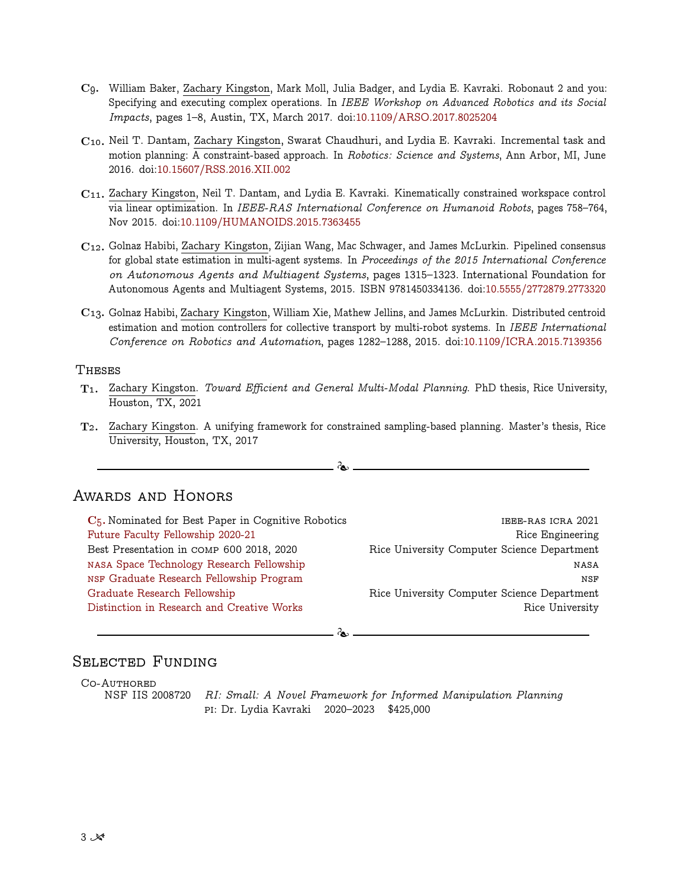- C9. William Baker, Zachary Kingston, Mark Moll, Julia Badger, and Lydia E. Kavraki. Robonaut 2 and you: Specifying and executing complex operations. In IEEE Workshop on Advanced Robotics and its Social Impacts, pages 1–8, Austin, TX, March 2017. doi[:10.1109/ARSO.2017.8025204](https://doi.org/10.1109/ARSO.2017.8025204)
- C10. Neil T. Dantam, Zachary Kingston, Swarat Chaudhuri, and Lydia E. Kavraki. Incremental task and motion planning: A constraint-based approach. In Robotics: Science and Systems, Ann Arbor, MI, June 2016. doi[:10.15607/RSS.2016.XII.002](https://doi.org/10.15607/RSS.2016.XII.002)
- $C_{11}$ . Zachary Kingston, Neil T. Dantam, and Lydia E. Kavraki. Kinematically constrained workspace control via linear optimization. In IEEE-RAS International Conference on Humanoid Robots, pages 758–764, Nov 2015. doi[:10.1109/HUMANOIDS.2015.7363455](https://doi.org/10.1109/HUMANOIDS.2015.7363455)
- C12. Golnaz Habibi, Zachary Kingston, Zijian Wang, Mac Schwager, and James McLurkin. Pipelined consensus for global state estimation in multi-agent systems. In Proceedings of the 2015 International Conference on Autonomous Agents and Multiagent Systems, pages 1315–1323. International Foundation for Autonomous Agents and Multiagent Systems, 2015. ISBN 9781450334136. doi[:10.5555/2772879.2773320](https://doi.org/10.5555/2772879.2773320)
- C13. Golnaz Habibi, Zachary Kingston, William Xie, Mathew Jellins, and James McLurkin. Distributed centroid estimation and motion controllers for collective transport by multi-robot systems. In IEEE International Conference on Robotics and Automation, pages 1282–1288, 2015. doi[:10.1109/ICRA.2015.7139356](https://doi.org/10.1109/ICRA.2015.7139356)

#### **THESES**

- T1. Zachary Kingston. Toward Efficient and General Multi-Modal Planning. PhD thesis, Rice University, Houston, TX, 2021
- T2. Zachary Kingston. A unifying framework for constrained sampling-based planning. Master's thesis, Rice University, Houston, TX, 2017

 $\partial_{\bf k}$ 

## Awards and Honors

| $C5$ . Nominated for Best Paper in Cognitive Robotics | IEEE-RAS ICRA 2021                          |
|-------------------------------------------------------|---------------------------------------------|
| Future Faculty Fellowship 2020-21                     | Rice Engineering                            |
| Best Presentation in COMP 600 2018, 2020              | Rice University Computer Science Department |
| NASA Space Technology Research Fellowship             | NASA                                        |
| NSF Graduate Research Fellowship Program              | <b>NSF</b>                                  |
| Graduate Research Fellowship                          | Rice University Computer Science Department |
| Distinction in Research and Creative Works            | Rice University                             |
|                                                       |                                             |
| രം                                                    |                                             |

#### SELECTED FUNDING

CO-AUTHORED

NSF IIS 2008720 RI: Small: A Novel Framework for Informed Manipulation Planning pi: Dr. Lydia Kavraki 2020–2023 \$425,000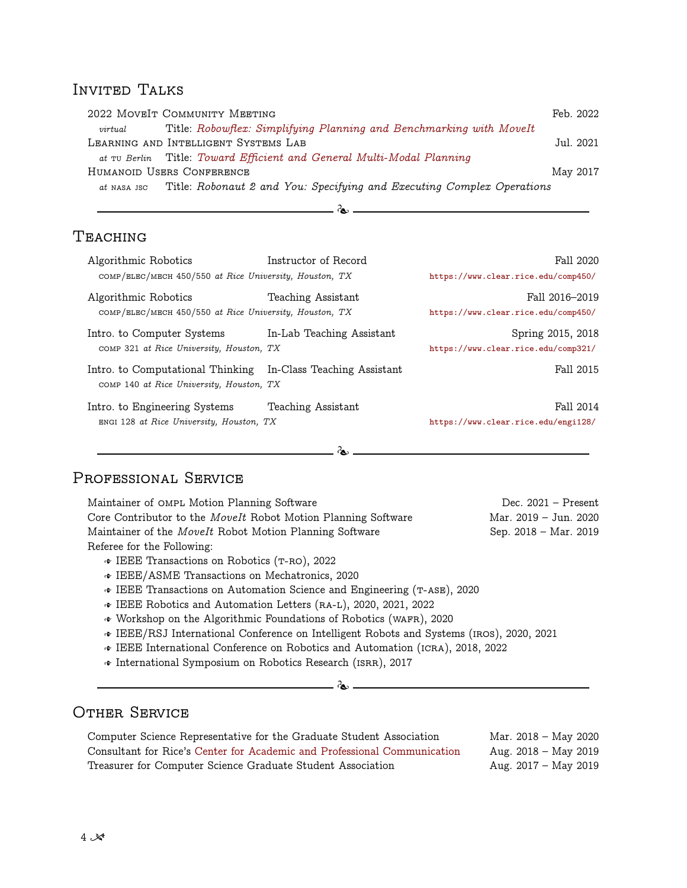## INVITED TALKS

|         | 2022 MOVEIT COMMUNITY MEETING                                                      | Feb. 2022 |
|---------|------------------------------------------------------------------------------------|-----------|
| virtual | Title: Robowflex: Simplifying Planning and Benchmarking with MoveIt                |           |
|         | LEARNING AND INTELLIGENT SYSTEMS LAB                                               | Jul. 2021 |
|         | at TU Berlin Title: Toward Efficient and General Multi-Modal Planning              |           |
|         | HUMANOID USERS CONFERENCE                                                          | May 2017  |
|         | at NASA JSC Title: Robonaut 2 and You: Specifying and Executing Complex Operations |           |

 $\infty$ 

# Teaching

| Algorithmic Robotics<br>COMP/ELEC/MECH 450/550 at Rice University, Houston, TX | Instructor of Record        | Fall 2020<br>https://www.clear.rice.edu/comp450/         |  |  |
|--------------------------------------------------------------------------------|-----------------------------|----------------------------------------------------------|--|--|
| Algorithmic Robotics<br>COMP/ELEC/MECH 450/550 at Rice University, Houston, TX | Teaching Assistant          | Fall 2016-2019<br>https://www.clear.rice.edu/comp450/    |  |  |
| Intro. to Computer Systems<br>COMP 321 at Rice University, Houston, TX         | In-Lab Teaching Assistant   | Spring 2015, 2018<br>https://www.clear.rice.edu/comp321/ |  |  |
| Intro. to Computational Thinking<br>COMP 140 at Rice University, Houston, TX   | In-Class Teaching Assistant | Fall 2015                                                |  |  |
| Intro. to Engineering Systems<br>ENGI 128 at Rice University, Houston, TX      | Teaching Assistant          | Fall 2014<br>https://www.clear.rice.edu/engi128/         |  |  |
|                                                                                |                             |                                                          |  |  |

## PROFESSIONAL SERVICE

Maintainer of OMPL Motion Planning Software Dec. 2021 – Present Core Contributor to the *MoveIt* Robot Motion Planning Software Mar. 2019 – Jun. 2020 Maintainer of the *MoveIt* Robot Motion Planning Software Sep. 2018 – Mar. 2019 Referee for the Following:  $\cdot$  IEEE Transactions on Robotics (T-RO), 2022

- W IEEE/ASME Transactions on Mechatronics, 2020
- W IEEE Transactions on Automation Science and Engineering (t-ase), 2020
- W IEEE Robotics and Automation Letters (ra-l), 2020, 2021, 2022
- W Workshop on the Algorithmic Foundations of Robotics (wafr), 2020
- W IEEE/RSJ International Conference on Intelligent Robots and Systems (iros), 2020, 2021
- W IEEE International Conference on Robotics and Automation (icra), 2018, 2022
- W International Symposium on Robotics Research (isrr), 2017

## Other Service

| Computer Science Representative for the Graduate Student Association     | Mar. 2018 – May 2020 |
|--------------------------------------------------------------------------|----------------------|
| Consultant for Rice's Center for Academic and Professional Communication | Aug. 2018 – May 2019 |
| Treasurer for Computer Science Graduate Student Association              | Aug. 2017 – May 2019 |

 $\infty$